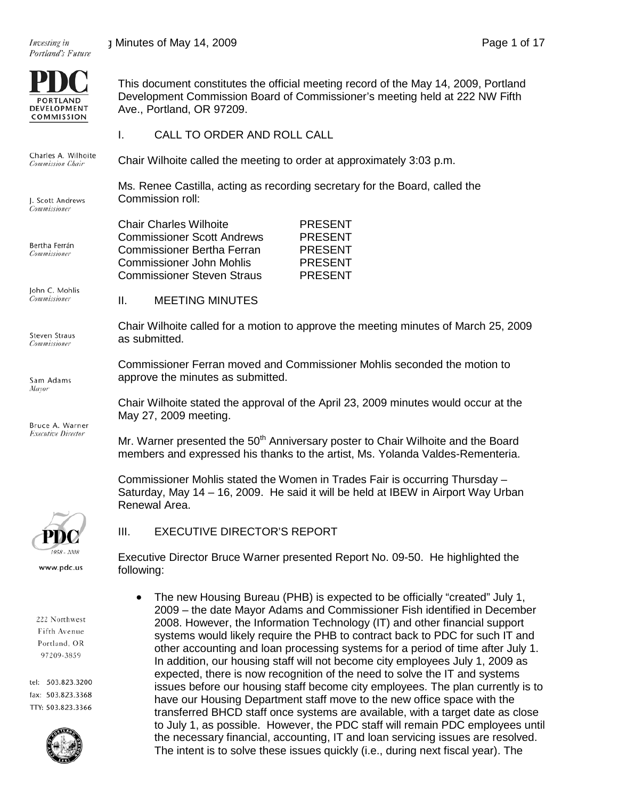Investing in



Charles A. Wilhoite **Commission Chair** 

J. Scott Andrews Commissioner

Bertha Ferrán Commissioner

John C. Mohlis Commissioner

Steven Straus Commissioner

Sam Adams Mayor

Bruce A. Warner **Executive Director** 

This document constitutes the official meeting record of the May 14, 2009, Portland Development Commission Board of Commissioner's meeting held at 222 NW Fifth Ave., Portland, OR 97209.

I. CALL TO ORDER AND ROLL CALL

Chair Wilhoite called the meeting to order at approximately 3:03 p.m.

Ms. Renee Castilla, acting as recording secretary for the Board, called the Commission roll:

| <b>Chair Charles Wilhoite</b>     | <b>PRESENT</b> |
|-----------------------------------|----------------|
| <b>Commissioner Scott Andrews</b> | <b>PRESENT</b> |
| <b>Commissioner Bertha Ferran</b> | <b>PRESENT</b> |
| <b>Commissioner John Mohlis</b>   | <b>PRESENT</b> |
| <b>Commissioner Steven Straus</b> | <b>PRESENT</b> |
|                                   |                |

II. MEETING MINUTES

Chair Wilhoite called for a motion to approve the meeting minutes of March 25, 2009 as submitted.

Commissioner Ferran moved and Commissioner Mohlis seconded the motion to approve the minutes as submitted.

Chair Wilhoite stated the approval of the April 23, 2009 minutes would occur at the May 27, 2009 meeting.

Mr. Warner presented the  $50<sup>th</sup>$  Anniversary poster to Chair Wilhoite and the Board members and expressed his thanks to the artist, Ms. Yolanda Valdes-Rementeria.

Commissioner Mohlis stated the Women in Trades Fair is occurring Thursday – Saturday, May 14 – 16, 2009. He said it will be held at IBEW in Airport Way Urban Renewal Area.



III. EXECUTIVE DIRECTOR'S REPORT

Executive Director Bruce Warner presented Report No. 09-50. He highlighted the following:

222 Northwest Fifth Avenue Portland, OR 97209-3859

1958 - 2008 www.pdc.us

tel: 503.823.3200 fax: 503.823.3368 TTY: 503.823.3366



• The new Housing Bureau (PHB) is expected to be officially "created" July 1, 2009 – the date Mayor Adams and Commissioner Fish identified in December 2008. However, the Information Technology (IT) and other financial support systems would likely require the PHB to contract back to PDC for such IT and other accounting and loan processing systems for a period of time after July 1. In addition, our housing staff will not become city employees July 1, 2009 as expected, there is now recognition of the need to solve the IT and systems issues before our housing staff become city employees. The plan currently is to have our Housing Department staff move to the new office space with the transferred BHCD staff once systems are available, with a target date as close to July 1, as possible. However, the PDC staff will remain PDC employees until the necessary financial, accounting, IT and loan servicing issues are resolved. The intent is to solve these issues quickly (i.e., during next fiscal year). The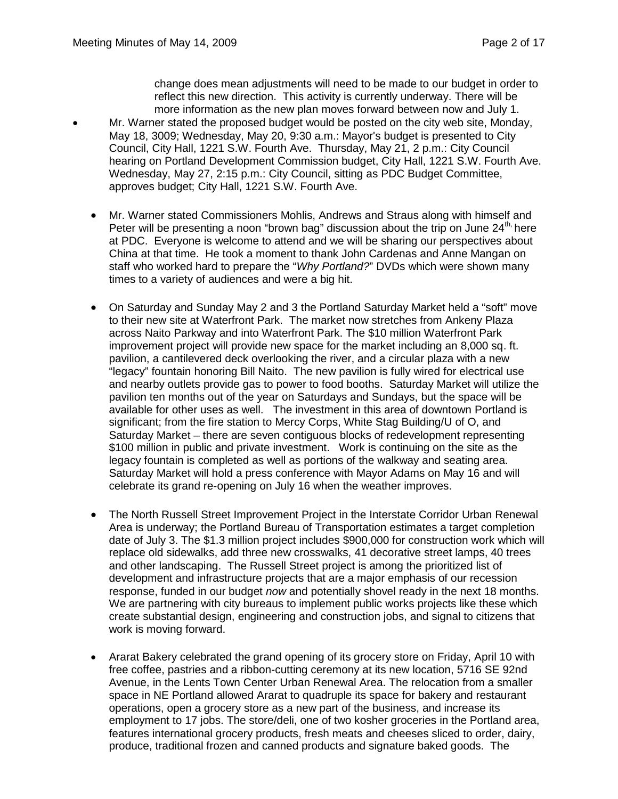change does mean adjustments will need to be made to our budget in order to reflect this new direction. This activity is currently underway. There will be more information as the new plan moves forward between now and July 1.

- Mr. Warner stated the proposed budget would be posted on the city web site, Monday, May 18, 3009; Wednesday, May 20, 9:30 a.m.: Mayor's budget is presented to City Council, City Hall, 1221 S.W. Fourth Ave. Thursday, May 21, 2 p.m.: City Council hearing on Portland Development Commission budget, City Hall, 1221 S.W. Fourth Ave. Wednesday, May 27, 2:15 p.m.: City Council, sitting as PDC Budget Committee, approves budget; City Hall, 1221 S.W. Fourth Ave.
	- Mr. Warner stated Commissioners Mohlis, Andrews and Straus along with himself and Peter will be presenting a noon "brown bag" discussion about the trip on June  $24<sup>th</sup>$  here at PDC. Everyone is welcome to attend and we will be sharing our perspectives about China at that time. He took a moment to thank John Cardenas and Anne Mangan on staff who worked hard to prepare the "*Why Portland?*" DVDs which were shown many times to a variety of audiences and were a big hit.
	- On Saturday and Sunday May 2 and 3 the Portland Saturday Market held a "soft" move to their new site at Waterfront Park. The market now stretches from Ankeny Plaza across Naito Parkway and into Waterfront Park. The \$10 million Waterfront Park improvement project will provide new space for the market including an 8,000 sq. ft. pavilion, a cantilevered deck overlooking the river, and a circular plaza with a new "legacy" fountain honoring Bill Naito. The new pavilion is fully wired for electrical use and nearby outlets provide gas to power to food booths. Saturday Market will utilize the pavilion ten months out of the year on Saturdays and Sundays, but the space will be available for other uses as well. The investment in this area of downtown Portland is significant; from the fire station to Mercy Corps, White Stag Building/U of O, and Saturday Market – there are seven contiguous blocks of redevelopment representing \$100 million in public and private investment. Work is continuing on the site as the legacy fountain is completed as well as portions of the walkway and seating area. Saturday Market will hold a press conference with Mayor Adams on May 16 and will celebrate its grand re-opening on July 16 when the weather improves.
	- The North Russell Street Improvement Project in the Interstate Corridor Urban Renewal Area is underway; the Portland Bureau of Transportation estimates a target completion date of July 3. The \$1.3 million project includes \$900,000 for construction work which will replace old sidewalks, add three new crosswalks, 41 decorative street lamps, 40 trees and other landscaping. The Russell Street project is among the prioritized list of development and infrastructure projects that are a major emphasis of our recession response, funded in our budget *now* and potentially shovel ready in the next 18 months. We are partnering with city bureaus to implement public works projects like these which create substantial design, engineering and construction jobs, and signal to citizens that work is moving forward.
	- Ararat Bakery celebrated the grand opening of its grocery store on Friday, April 10 with free coffee, pastries and a ribbon-cutting ceremony at its new location, 5716 SE 92nd Avenue, in the Lents Town Center Urban Renewal Area. The relocation from a smaller space in NE Portland allowed Ararat to quadruple its space for bakery and restaurant operations, open a grocery store as a new part of the business, and increase its employment to 17 jobs. The store/deli, one of two kosher groceries in the Portland area, features international grocery products, fresh meats and cheeses sliced to order, dairy, produce, traditional frozen and canned products and signature baked goods. The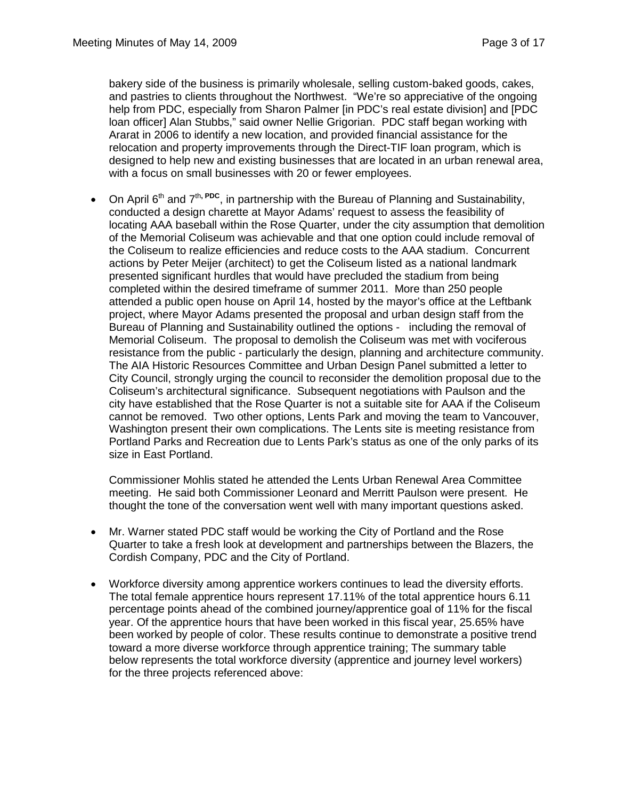bakery side of the business is primarily wholesale, selling custom-baked goods, cakes, and pastries to clients throughout the Northwest. "We're so appreciative of the ongoing help from PDC, especially from Sharon Palmer [in PDC's real estate division] and [PDC loan officer] Alan Stubbs," said owner Nellie Grigorian. PDC staff began working with Ararat in 2006 to identify a new location, and provided financial assistance for the relocation and property improvements through the Direct-TIF loan program, which is designed to help new and existing businesses that are located in an urban renewal area, with a focus on small businesses with 20 or fewer employees.

• On April 6th and 7th**, PDC**, in partnership with the Bureau of Planning and Sustainability, conducted a design charette at Mayor Adams' request to assess the feasibility of locating AAA baseball within the Rose Quarter, under the city assumption that demolition of the Memorial Coliseum was achievable and that one option could include removal of the Coliseum to realize efficiencies and reduce costs to the AAA stadium. Concurrent actions by Peter Meijer (architect) to get the Coliseum listed as a national landmark presented significant hurdles that would have precluded the stadium from being completed within the desired timeframe of summer 2011. More than 250 people attended a public open house on April 14, hosted by the mayor's office at the Leftbank project, where Mayor Adams presented the proposal and urban design staff from the Bureau of Planning and Sustainability outlined the options - including the removal of Memorial Coliseum. The proposal to demolish the Coliseum was met with vociferous resistance from the public - particularly the design, planning and architecture community. The AIA Historic Resources Committee and Urban Design Panel submitted a letter to City Council, strongly urging the council to reconsider the demolition proposal due to the Coliseum's architectural significance. Subsequent negotiations with Paulson and the city have established that the Rose Quarter is not a suitable site for AAA if the Coliseum cannot be removed. Two other options, Lents Park and moving the team to Vancouver, Washington present their own complications. The Lents site is meeting resistance from Portland Parks and Recreation due to Lents Park's status as one of the only parks of its size in East Portland.

Commissioner Mohlis stated he attended the Lents Urban Renewal Area Committee meeting. He said both Commissioner Leonard and Merritt Paulson were present. He thought the tone of the conversation went well with many important questions asked.

- Mr. Warner stated PDC staff would be working the City of Portland and the Rose Quarter to take a fresh look at development and partnerships between the Blazers, the Cordish Company, PDC and the City of Portland.
- Workforce diversity among apprentice workers continues to lead the diversity efforts. The total female apprentice hours represent 17.11% of the total apprentice hours 6.11 percentage points ahead of the combined journey/apprentice goal of 11% for the fiscal year. Of the apprentice hours that have been worked in this fiscal year, 25.65% have been worked by people of color. These results continue to demonstrate a positive trend toward a more diverse workforce through apprentice training; The summary table below represents the total workforce diversity (apprentice and journey level workers) for the three projects referenced above: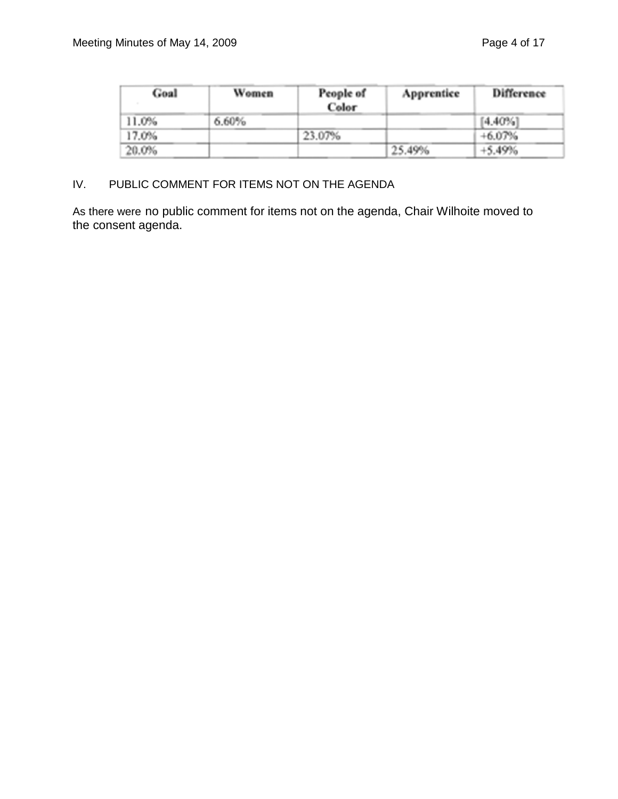| Goal  | Women | People of<br>Color | Apprentice | Difference |
|-------|-------|--------------------|------------|------------|
| 11.0% | 6.60% |                    |            | [4.40%]    |
| 17.0% |       | 23.07%             |            | $+6.07%$   |
| 20.0% |       |                    | 25.49%     | $+5.49%$   |

## IV. PUBLIC COMMENT FOR ITEMS NOT ON THE AGENDA

As there were no public comment for items not on the agenda, Chair Wilhoite moved to the consent agenda.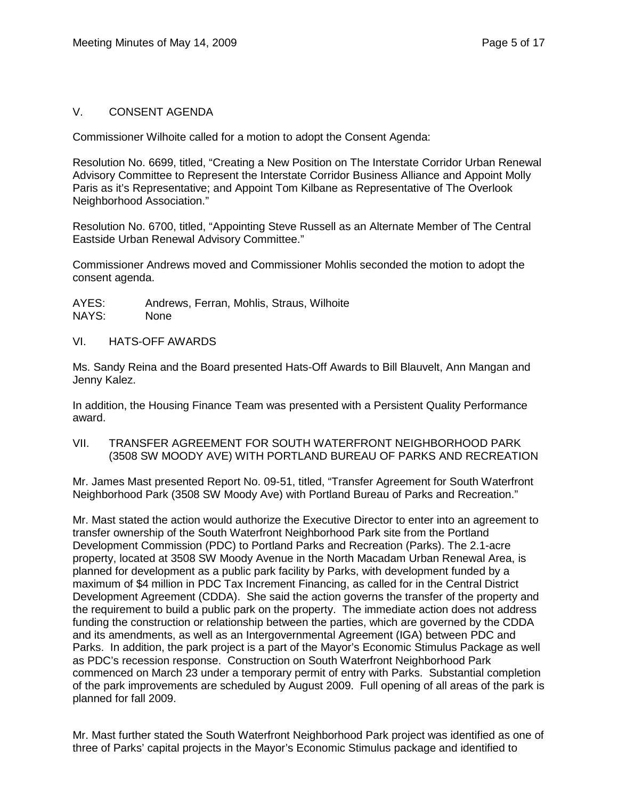#### V. CONSENT AGENDA

Commissioner Wilhoite called for a motion to adopt the Consent Agenda:

Resolution No. 6699, titled, "Creating a New Position on The Interstate Corridor Urban Renewal Advisory Committee to Represent the Interstate Corridor Business Alliance and Appoint Molly Paris as it's Representative; and Appoint Tom Kilbane as Representative of The Overlook Neighborhood Association."

Resolution No. 6700, titled, "Appointing Steve Russell as an Alternate Member of The Central Eastside Urban Renewal Advisory Committee."

Commissioner Andrews moved and Commissioner Mohlis seconded the motion to adopt the consent agenda.

AYES: Andrews, Ferran, Mohlis, Straus, Wilhoite NAYS: None

VI. HATS-OFF AWARDS

Ms. Sandy Reina and the Board presented Hats-Off Awards to Bill Blauvelt, Ann Mangan and Jenny Kalez.

In addition, the Housing Finance Team was presented with a Persistent Quality Performance award.

VII. TRANSFER AGREEMENT FOR SOUTH WATERFRONT NEIGHBORHOOD PARK (3508 SW MOODY AVE) WITH PORTLAND BUREAU OF PARKS AND RECREATION

Mr. James Mast presented Report No. 09-51, titled, "Transfer Agreement for South Waterfront Neighborhood Park (3508 SW Moody Ave) with Portland Bureau of Parks and Recreation."

Mr. Mast stated the action would authorize the Executive Director to enter into an agreement to transfer ownership of the South Waterfront Neighborhood Park site from the Portland Development Commission (PDC) to Portland Parks and Recreation (Parks). The 2.1-acre property, located at 3508 SW Moody Avenue in the North Macadam Urban Renewal Area, is planned for development as a public park facility by Parks, with development funded by a maximum of \$4 million in PDC Tax Increment Financing, as called for in the Central District Development Agreement (CDDA). She said the action governs the transfer of the property and the requirement to build a public park on the property. The immediate action does not address funding the construction or relationship between the parties, which are governed by the CDDA and its amendments, as well as an Intergovernmental Agreement (IGA) between PDC and Parks. In addition, the park project is a part of the Mayor's Economic Stimulus Package as well as PDC's recession response. Construction on South Waterfront Neighborhood Park commenced on March 23 under a temporary permit of entry with Parks. Substantial completion of the park improvements are scheduled by August 2009. Full opening of all areas of the park is planned for fall 2009.

Mr. Mast further stated the South Waterfront Neighborhood Park project was identified as one of three of Parks' capital projects in the Mayor's Economic Stimulus package and identified to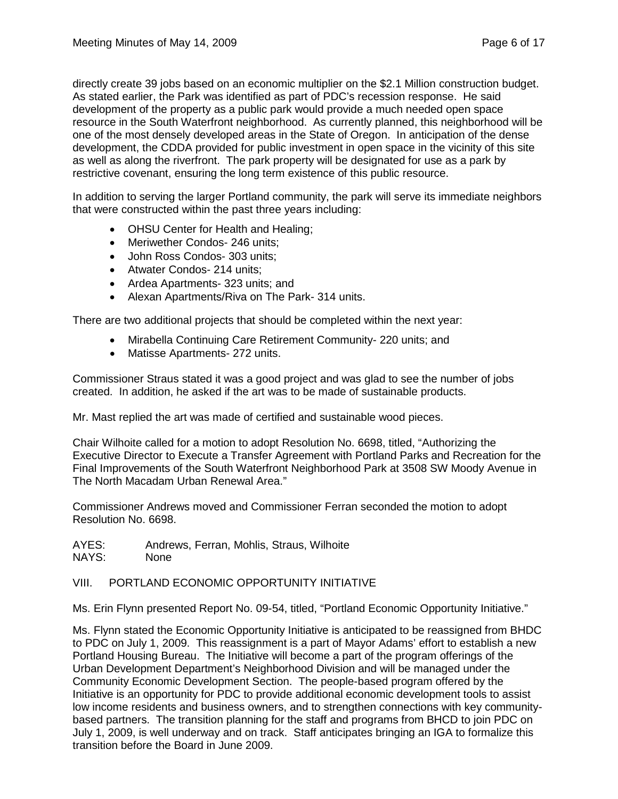directly create 39 jobs based on an economic multiplier on the \$2.1 Million construction budget. As stated earlier, the Park was identified as part of PDC's recession response. He said development of the property as a public park would provide a much needed open space resource in the South Waterfront neighborhood. As currently planned, this neighborhood will be one of the most densely developed areas in the State of Oregon. In anticipation of the dense development, the CDDA provided for public investment in open space in the vicinity of this site as well as along the riverfront. The park property will be designated for use as a park by restrictive covenant, ensuring the long term existence of this public resource.

In addition to serving the larger Portland community, the park will serve its immediate neighbors that were constructed within the past three years including:

- OHSU Center for Health and Healing;
- Meriwether Condos- 246 units;
- John Ross Condos- 303 units;
- Atwater Condos- 214 units;
- Ardea Apartments- 323 units; and
- Alexan Apartments/Riva on The Park- 314 units.

There are two additional projects that should be completed within the next year:

- Mirabella Continuing Care Retirement Community- 220 units; and
- Matisse Apartments- 272 units.

Commissioner Straus stated it was a good project and was glad to see the number of jobs created. In addition, he asked if the art was to be made of sustainable products.

Mr. Mast replied the art was made of certified and sustainable wood pieces.

Chair Wilhoite called for a motion to adopt Resolution No. 6698, titled, "Authorizing the Executive Director to Execute a Transfer Agreement with Portland Parks and Recreation for the Final Improvements of the South Waterfront Neighborhood Park at 3508 SW Moody Avenue in The North Macadam Urban Renewal Area."

Commissioner Andrews moved and Commissioner Ferran seconded the motion to adopt Resolution No. 6698.

AYES: Andrews, Ferran, Mohlis, Straus, Wilhoite NAYS: None

#### VIII. PORTLAND ECONOMIC OPPORTUNITY INITIATIVE

Ms. Erin Flynn presented Report No. 09-54, titled, "Portland Economic Opportunity Initiative."

Ms. Flynn stated the Economic Opportunity Initiative is anticipated to be reassigned from BHDC to PDC on July 1, 2009. This reassignment is a part of Mayor Adams' effort to establish a new Portland Housing Bureau. The Initiative will become a part of the program offerings of the Urban Development Department's Neighborhood Division and will be managed under the Community Economic Development Section. The people-based program offered by the Initiative is an opportunity for PDC to provide additional economic development tools to assist low income residents and business owners, and to strengthen connections with key communitybased partners. The transition planning for the staff and programs from BHCD to join PDC on July 1, 2009, is well underway and on track. Staff anticipates bringing an IGA to formalize this transition before the Board in June 2009.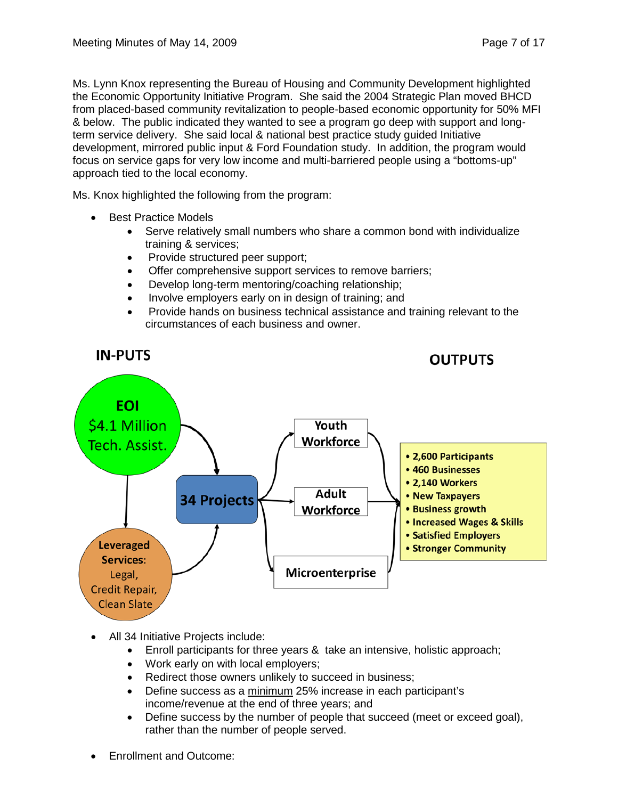Ms. Lynn Knox representing the Bureau of Housing and Community Development highlighted the Economic Opportunity Initiative Program. She said the 2004 Strategic Plan moved BHCD from placed-based community revitalization to people-based economic opportunity for 50% MFI & below. The public indicated they wanted to see a program go deep with support and longterm service delivery. She said local & national best practice study guided Initiative development, mirrored public input & Ford Foundation study. In addition, the program would focus on service gaps for very low income and multi-barriered people using a "bottoms-up" approach tied to the local economy.

Ms. Knox highlighted the following from the program:

- **Best Practice Models** 
	- Serve relatively small numbers who share a common bond with individualize training & services;
	- Provide structured peer support;
	- Offer comprehensive support services to remove barriers;
	- Develop long-term mentoring/coaching relationship;
	- Involve employers early on in design of training; and
	- Provide hands on business technical assistance and training relevant to the circumstances of each business and owner.



- All 34 Initiative Projects include:
	- Enroll participants for three years & take an intensive, holistic approach;
	- Work early on with local employers;
	- Redirect those owners unlikely to succeed in business;
	- Define success as a minimum 25% increase in each participant's income/revenue at the end of three years; and
	- Define success by the number of people that succeed (meet or exceed goal), rather than the number of people served.
- Enrollment and Outcome: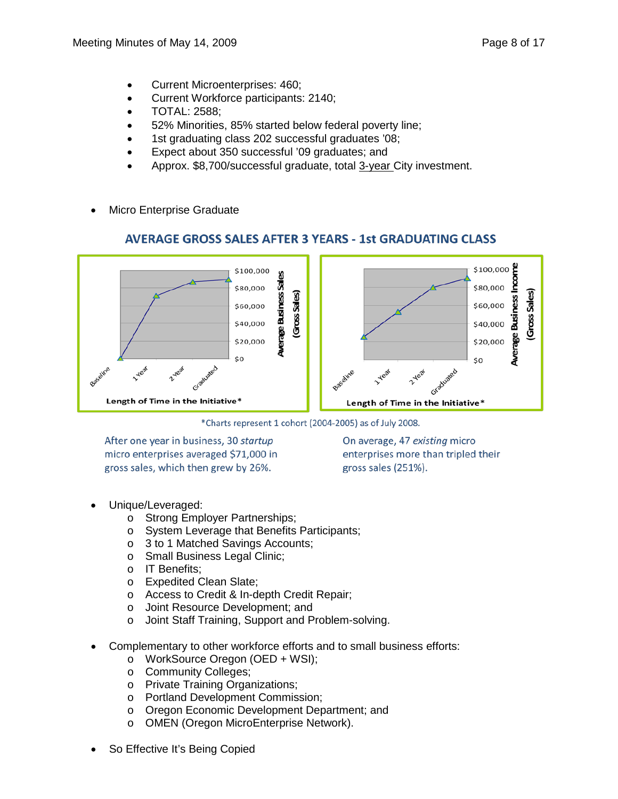- Current Microenterprises: 460;
- Current Workforce participants: 2140;
- TOTAL: 2588;
- 52% Minorities, 85% started below federal poverty line;
- 1st graduating class 202 successful graduates '08;
- Expect about 350 successful '09 graduates; and
- Approx. \$8,700/successful graduate, total 3-year City investment.
- Micro Enterprise Graduate

# **AVERAGE GROSS SALES AFTER 3 YEARS - 1st GRADUATING CLASS**



\*Charts represent 1 cohort (2004-2005) as of July 2008.

After one year in business, 30 startup micro enterprises averaged \$71,000 in gross sales, which then grew by 26%.

On average, 47 existing micro enterprises more than tripled their gross sales (251%).

- Unique/Leveraged:
	- o Strong Employer Partnerships;
	- o System Leverage that Benefits Participants;
	- o 3 to 1 Matched Savings Accounts;
	- o Small Business Legal Clinic;
	- o IT Benefits;
	- o Expedited Clean Slate;
	- o Access to Credit & In-depth Credit Repair;
	- o Joint Resource Development; and
	- o Joint Staff Training, Support and Problem-solving.
- Complementary to other workforce efforts and to small business efforts:
	- o WorkSource Oregon (OED + WSI);
	- o Community Colleges;
	- o Private Training Organizations;
	- o Portland Development Commission;
	- o Oregon Economic Development Department; and
	- o OMEN (Oregon MicroEnterprise Network).
- So Effective It's Being Copied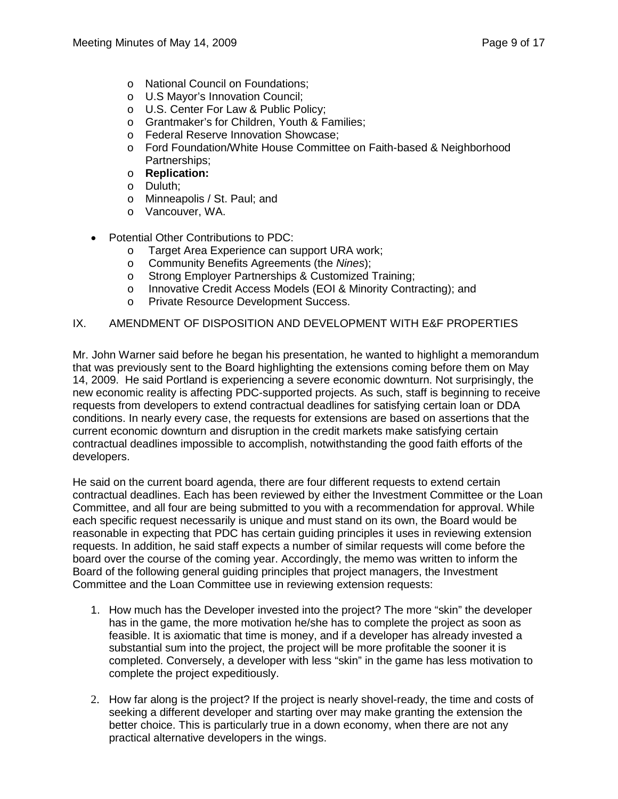- o National Council on Foundations;
- o U.S Mayor's Innovation Council;
- o U.S. Center For Law & Public Policy;
- o Grantmaker's for Children, Youth & Families;
- o Federal Reserve Innovation Showcase;
- o Ford Foundation/White House Committee on Faith-based & Neighborhood Partnerships;
- o **Replication:**
- o Duluth;
- o Minneapolis / St. Paul; and
- o Vancouver, WA.
- Potential Other Contributions to PDC:
	- o Target Area Experience can support URA work;
	- o Community Benefits Agreements (the *Nines*);
	- o Strong Employer Partnerships & Customized Training;
	- o Innovative Credit Access Models (EOI & Minority Contracting); and<br>o Private Resource Development Success.
	- Private Resource Development Success.

#### IX. AMENDMENT OF DISPOSITION AND DEVELOPMENT WITH E&F PROPERTIES

Mr. John Warner said before he began his presentation, he wanted to highlight a memorandum that was previously sent to the Board highlighting the extensions coming before them on May 14, 2009. He said Portland is experiencing a severe economic downturn. Not surprisingly, the new economic reality is affecting PDC-supported projects. As such, staff is beginning to receive requests from developers to extend contractual deadlines for satisfying certain loan or DDA conditions. In nearly every case, the requests for extensions are based on assertions that the current economic downturn and disruption in the credit markets make satisfying certain contractual deadlines impossible to accomplish, notwithstanding the good faith efforts of the developers.

He said on the current board agenda, there are four different requests to extend certain contractual deadlines. Each has been reviewed by either the Investment Committee or the Loan Committee, and all four are being submitted to you with a recommendation for approval. While each specific request necessarily is unique and must stand on its own, the Board would be reasonable in expecting that PDC has certain guiding principles it uses in reviewing extension requests. In addition, he said staff expects a number of similar requests will come before the board over the course of the coming year. Accordingly, the memo was written to inform the Board of the following general guiding principles that project managers, the Investment Committee and the Loan Committee use in reviewing extension requests:

- 1. How much has the Developer invested into the project? The more "skin" the developer has in the game, the more motivation he/she has to complete the project as soon as feasible. It is axiomatic that time is money, and if a developer has already invested a substantial sum into the project, the project will be more profitable the sooner it is completed. Conversely, a developer with less "skin" in the game has less motivation to complete the project expeditiously.
- 2. How far along is the project? If the project is nearly shovel-ready, the time and costs of seeking a different developer and starting over may make granting the extension the better choice. This is particularly true in a down economy, when there are not any practical alternative developers in the wings.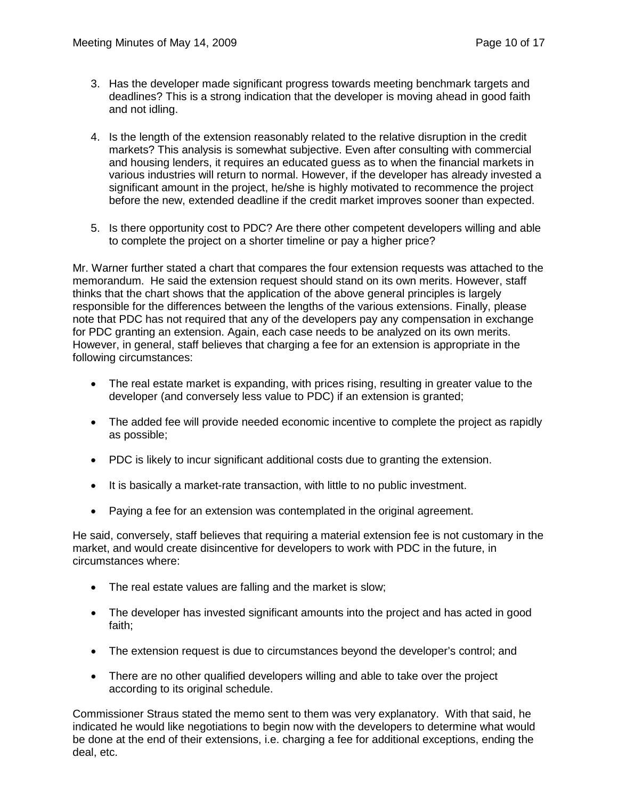- 3. Has the developer made significant progress towards meeting benchmark targets and deadlines? This is a strong indication that the developer is moving ahead in good faith and not idling.
- 4. Is the length of the extension reasonably related to the relative disruption in the credit markets? This analysis is somewhat subjective. Even after consulting with commercial and housing lenders, it requires an educated guess as to when the financial markets in various industries will return to normal. However, if the developer has already invested a significant amount in the project, he/she is highly motivated to recommence the project before the new, extended deadline if the credit market improves sooner than expected.
- 5. Is there opportunity cost to PDC? Are there other competent developers willing and able to complete the project on a shorter timeline or pay a higher price?

Mr. Warner further stated a chart that compares the four extension requests was attached to the memorandum. He said the extension request should stand on its own merits. However, staff thinks that the chart shows that the application of the above general principles is largely responsible for the differences between the lengths of the various extensions. Finally, please note that PDC has not required that any of the developers pay any compensation in exchange for PDC granting an extension. Again, each case needs to be analyzed on its own merits. However, in general, staff believes that charging a fee for an extension is appropriate in the following circumstances:

- The real estate market is expanding, with prices rising, resulting in greater value to the developer (and conversely less value to PDC) if an extension is granted;
- The added fee will provide needed economic incentive to complete the project as rapidly as possible;
- PDC is likely to incur significant additional costs due to granting the extension.
- It is basically a market-rate transaction, with little to no public investment.
- Paying a fee for an extension was contemplated in the original agreement.

He said, conversely, staff believes that requiring a material extension fee is not customary in the market, and would create disincentive for developers to work with PDC in the future, in circumstances where:

- The real estate values are falling and the market is slow;
- The developer has invested significant amounts into the project and has acted in good faith;
- The extension request is due to circumstances beyond the developer's control; and
- There are no other qualified developers willing and able to take over the project according to its original schedule.

Commissioner Straus stated the memo sent to them was very explanatory. With that said, he indicated he would like negotiations to begin now with the developers to determine what would be done at the end of their extensions, i.e. charging a fee for additional exceptions, ending the deal, etc.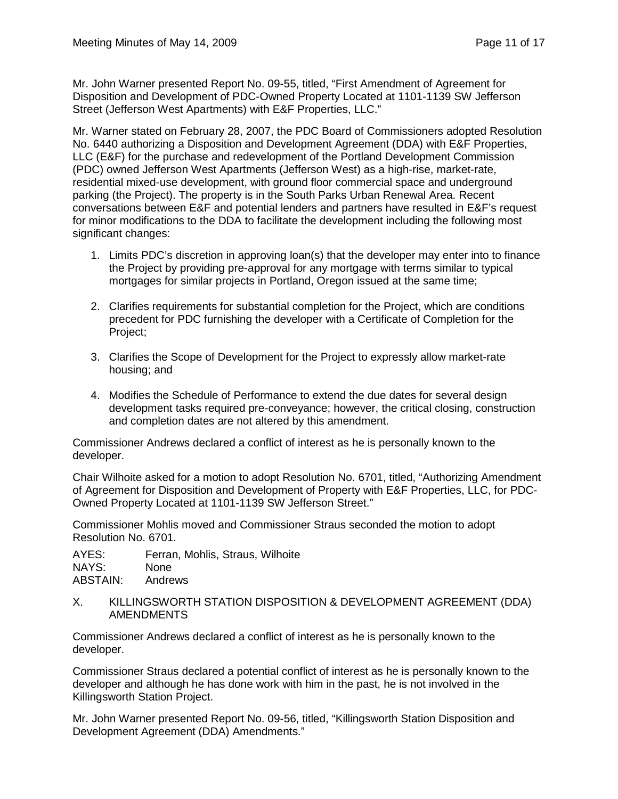Mr. John Warner presented Report No. 09-55, titled, "First Amendment of Agreement for Disposition and Development of PDC-Owned Property Located at 1101-1139 SW Jefferson Street (Jefferson West Apartments) with E&F Properties, LLC."

Mr. Warner stated on February 28, 2007, the PDC Board of Commissioners adopted Resolution No. 6440 authorizing a Disposition and Development Agreement (DDA) with E&F Properties, LLC (E&F) for the purchase and redevelopment of the Portland Development Commission (PDC) owned Jefferson West Apartments (Jefferson West) as a high-rise, market-rate, residential mixed-use development, with ground floor commercial space and underground parking (the Project). The property is in the South Parks Urban Renewal Area. Recent conversations between E&F and potential lenders and partners have resulted in E&F's request for minor modifications to the DDA to facilitate the development including the following most significant changes:

- 1. Limits PDC's discretion in approving loan(s) that the developer may enter into to finance the Project by providing pre-approval for any mortgage with terms similar to typical mortgages for similar projects in Portland, Oregon issued at the same time;
- 2. Clarifies requirements for substantial completion for the Project, which are conditions precedent for PDC furnishing the developer with a Certificate of Completion for the Project;
- 3. Clarifies the Scope of Development for the Project to expressly allow market-rate housing; and
- 4. Modifies the Schedule of Performance to extend the due dates for several design development tasks required pre-conveyance; however, the critical closing, construction and completion dates are not altered by this amendment.

Commissioner Andrews declared a conflict of interest as he is personally known to the developer.

Chair Wilhoite asked for a motion to adopt Resolution No. 6701, titled, "Authorizing Amendment of Agreement for Disposition and Development of Property with E&F Properties, LLC, for PDC-Owned Property Located at 1101-1139 SW Jefferson Street."

Commissioner Mohlis moved and Commissioner Straus seconded the motion to adopt Resolution No. 6701.

AYES: Ferran, Mohlis, Straus, Wilhoite NAYS: None ABSTAIN: Andrews

X. KILLINGSWORTH STATION DISPOSITION & DEVELOPMENT AGREEMENT (DDA) AMENDMENTS

Commissioner Andrews declared a conflict of interest as he is personally known to the developer.

Commissioner Straus declared a potential conflict of interest as he is personally known to the developer and although he has done work with him in the past, he is not involved in the Killingsworth Station Project.

Mr. John Warner presented Report No. 09-56, titled, "Killingsworth Station Disposition and Development Agreement (DDA) Amendments."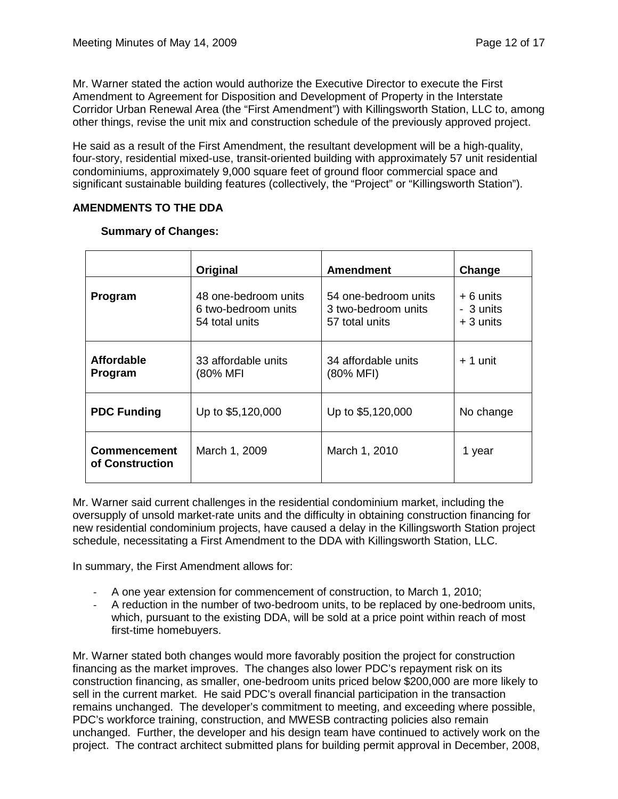Mr. Warner stated the action would authorize the Executive Director to execute the First Amendment to Agreement for Disposition and Development of Property in the Interstate Corridor Urban Renewal Area (the "First Amendment") with Killingsworth Station, LLC to, among other things, revise the unit mix and construction schedule of the previously approved project.

He said as a result of the First Amendment, the resultant development will be a high-quality, four-story, residential mixed-use, transit-oriented building with approximately 57 unit residential condominiums, approximately 9,000 square feet of ground floor commercial space and significant sustainable building features (collectively, the "Project" or "Killingsworth Station").

### **AMENDMENTS TO THE DDA**

|                                        | Original                                                      | <b>Amendment</b>                                              | Change                               |
|----------------------------------------|---------------------------------------------------------------|---------------------------------------------------------------|--------------------------------------|
| Program                                | 48 one-bedroom units<br>6 two-bedroom units<br>54 total units | 54 one-bedroom units<br>3 two-bedroom units<br>57 total units | + 6 units<br>- 3 units<br>$+3$ units |
| <b>Affordable</b><br>Program           | 33 affordable units<br>(80% MFI                               | 34 affordable units<br>(80% MFI)                              | $+1$ unit                            |
| <b>PDC Funding</b>                     | Up to \$5,120,000                                             | Up to \$5,120,000                                             | No change                            |
| <b>Commencement</b><br>of Construction | March 1, 2009                                                 | March 1, 2010                                                 | 1 year                               |

#### **Summary of Changes:**

Mr. Warner said current challenges in the residential condominium market, including the oversupply of unsold market-rate units and the difficulty in obtaining construction financing for new residential condominium projects, have caused a delay in the Killingsworth Station project schedule, necessitating a First Amendment to the DDA with Killingsworth Station, LLC.

In summary, the First Amendment allows for:

- A one year extension for commencement of construction, to March 1, 2010;
- A reduction in the number of two-bedroom units, to be replaced by one-bedroom units, which, pursuant to the existing DDA, will be sold at a price point within reach of most first-time homebuyers.

Mr. Warner stated both changes would more favorably position the project for construction financing as the market improves. The changes also lower PDC's repayment risk on its construction financing, as smaller, one-bedroom units priced below \$200,000 are more likely to sell in the current market. He said PDC's overall financial participation in the transaction remains unchanged. The developer's commitment to meeting, and exceeding where possible, PDC's workforce training, construction, and MWESB contracting policies also remain unchanged. Further, the developer and his design team have continued to actively work on the project. The contract architect submitted plans for building permit approval in December, 2008,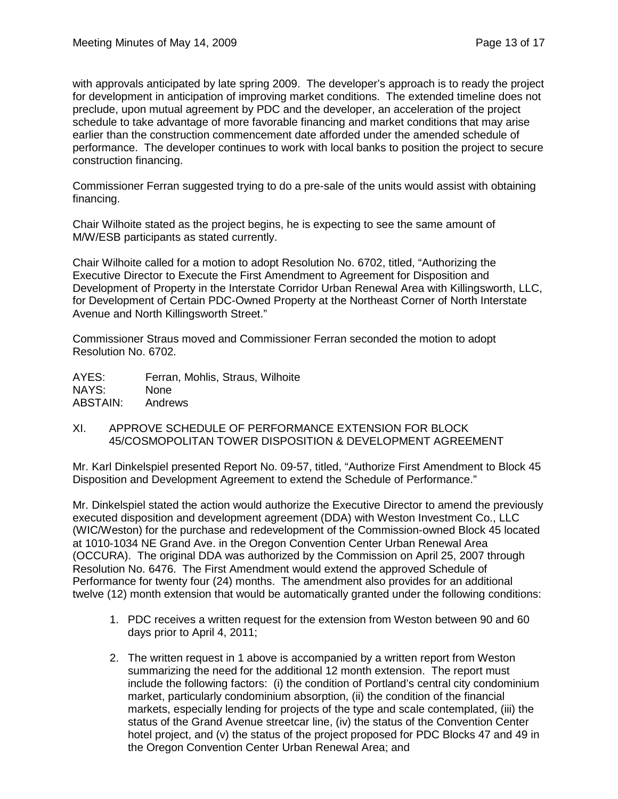with approvals anticipated by late spring 2009. The developer's approach is to ready the project for development in anticipation of improving market conditions. The extended timeline does not preclude, upon mutual agreement by PDC and the developer, an acceleration of the project schedule to take advantage of more favorable financing and market conditions that may arise earlier than the construction commencement date afforded under the amended schedule of performance. The developer continues to work with local banks to position the project to secure construction financing.

Commissioner Ferran suggested trying to do a pre-sale of the units would assist with obtaining financing.

Chair Wilhoite stated as the project begins, he is expecting to see the same amount of M/W/ESB participants as stated currently.

Chair Wilhoite called for a motion to adopt Resolution No. 6702, titled, "Authorizing the Executive Director to Execute the First Amendment to Agreement for Disposition and Development of Property in the Interstate Corridor Urban Renewal Area with Killingsworth, LLC, for Development of Certain PDC-Owned Property at the Northeast Corner of North Interstate Avenue and North Killingsworth Street."

Commissioner Straus moved and Commissioner Ferran seconded the motion to adopt Resolution No. 6702.

AYES: Ferran, Mohlis, Straus, Wilhoite NAYS: None ABSTAIN: Andrews

XI. APPROVE SCHEDULE OF PERFORMANCE EXTENSION FOR BLOCK 45/COSMOPOLITAN TOWER DISPOSITION & DEVELOPMENT AGREEMENT

Mr. Karl Dinkelspiel presented Report No. 09-57, titled, "Authorize First Amendment to Block 45 Disposition and Development Agreement to extend the Schedule of Performance."

Mr. Dinkelspiel stated the action would authorize the Executive Director to amend the previously executed disposition and development agreement (DDA) with Weston Investment Co., LLC (WIC/Weston) for the purchase and redevelopment of the Commission-owned Block 45 located at 1010-1034 NE Grand Ave. in the Oregon Convention Center Urban Renewal Area (OCCURA). The original DDA was authorized by the Commission on April 25, 2007 through Resolution No. 6476. The First Amendment would extend the approved Schedule of Performance for twenty four (24) months. The amendment also provides for an additional twelve (12) month extension that would be automatically granted under the following conditions:

- 1. PDC receives a written request for the extension from Weston between 90 and 60 days prior to April 4, 2011;
- 2. The written request in 1 above is accompanied by a written report from Weston summarizing the need for the additional 12 month extension. The report must include the following factors: (i) the condition of Portland's central city condominium market, particularly condominium absorption, (ii) the condition of the financial markets, especially lending for projects of the type and scale contemplated, (iii) the status of the Grand Avenue streetcar line, (iv) the status of the Convention Center hotel project, and (v) the status of the project proposed for PDC Blocks 47 and 49 in the Oregon Convention Center Urban Renewal Area; and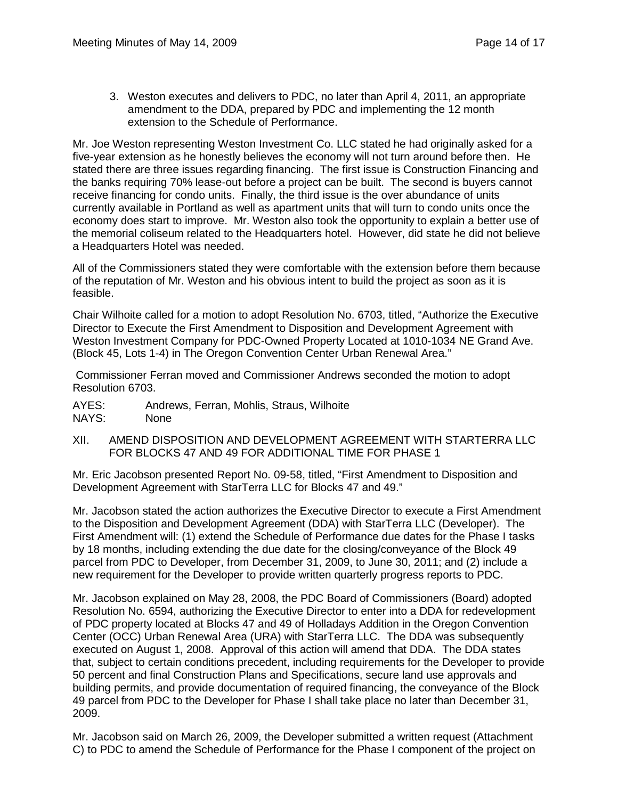3. Weston executes and delivers to PDC, no later than April 4, 2011, an appropriate amendment to the DDA, prepared by PDC and implementing the 12 month extension to the Schedule of Performance.

Mr. Joe Weston representing Weston Investment Co. LLC stated he had originally asked for a five-year extension as he honestly believes the economy will not turn around before then. He stated there are three issues regarding financing. The first issue is Construction Financing and the banks requiring 70% lease-out before a project can be built. The second is buyers cannot receive financing for condo units. Finally, the third issue is the over abundance of units currently available in Portland as well as apartment units that will turn to condo units once the economy does start to improve. Mr. Weston also took the opportunity to explain a better use of the memorial coliseum related to the Headquarters hotel. However, did state he did not believe a Headquarters Hotel was needed.

All of the Commissioners stated they were comfortable with the extension before them because of the reputation of Mr. Weston and his obvious intent to build the project as soon as it is feasible.

Chair Wilhoite called for a motion to adopt Resolution No. 6703, titled, "Authorize the Executive Director to Execute the First Amendment to Disposition and Development Agreement with Weston Investment Company for PDC-Owned Property Located at 1010-1034 NE Grand Ave. (Block 45, Lots 1-4) in The Oregon Convention Center Urban Renewal Area."

Commissioner Ferran moved and Commissioner Andrews seconded the motion to adopt Resolution 6703.

AYES: Andrews, Ferran, Mohlis, Straus, Wilhoite NAYS: None

XII. AMEND DISPOSITION AND DEVELOPMENT AGREEMENT WITH STARTERRA LLC FOR BLOCKS 47 AND 49 FOR ADDITIONAL TIME FOR PHASE 1

Mr. Eric Jacobson presented Report No. 09-58, titled, "First Amendment to Disposition and Development Agreement with StarTerra LLC for Blocks 47 and 49."

Mr. Jacobson stated the action authorizes the Executive Director to execute a First Amendment to the Disposition and Development Agreement (DDA) with StarTerra LLC (Developer). The First Amendment will: (1) extend the Schedule of Performance due dates for the Phase I tasks by 18 months, including extending the due date for the closing/conveyance of the Block 49 parcel from PDC to Developer, from December 31, 2009, to June 30, 2011; and (2) include a new requirement for the Developer to provide written quarterly progress reports to PDC.

Mr. Jacobson explained on May 28, 2008, the PDC Board of Commissioners (Board) adopted Resolution No. 6594, authorizing the Executive Director to enter into a DDA for redevelopment of PDC property located at Blocks 47 and 49 of Holladays Addition in the Oregon Convention Center (OCC) Urban Renewal Area (URA) with StarTerra LLC. The DDA was subsequently executed on August 1, 2008. Approval of this action will amend that DDA. The DDA states that, subject to certain conditions precedent, including requirements for the Developer to provide 50 percent and final Construction Plans and Specifications, secure land use approvals and building permits, and provide documentation of required financing, the conveyance of the Block 49 parcel from PDC to the Developer for Phase I shall take place no later than December 31, 2009.

Mr. Jacobson said on March 26, 2009, the Developer submitted a written request (Attachment C) to PDC to amend the Schedule of Performance for the Phase I component of the project on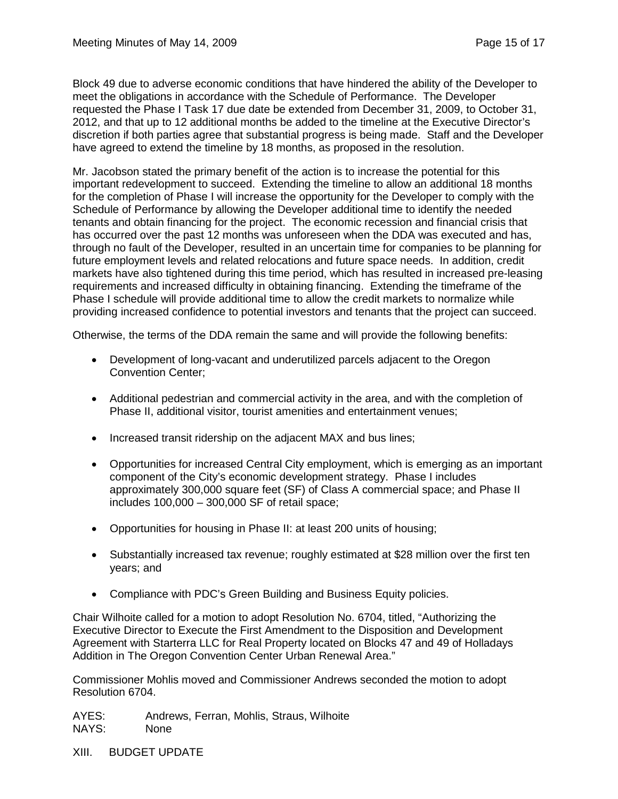Block 49 due to adverse economic conditions that have hindered the ability of the Developer to meet the obligations in accordance with the Schedule of Performance. The Developer requested the Phase I Task 17 due date be extended from December 31, 2009, to October 31, 2012, and that up to 12 additional months be added to the timeline at the Executive Director's discretion if both parties agree that substantial progress is being made. Staff and the Developer have agreed to extend the timeline by 18 months, as proposed in the resolution.

Mr. Jacobson stated the primary benefit of the action is to increase the potential for this important redevelopment to succeed. Extending the timeline to allow an additional 18 months for the completion of Phase I will increase the opportunity for the Developer to comply with the Schedule of Performance by allowing the Developer additional time to identify the needed tenants and obtain financing for the project. The economic recession and financial crisis that has occurred over the past 12 months was unforeseen when the DDA was executed and has, through no fault of the Developer, resulted in an uncertain time for companies to be planning for future employment levels and related relocations and future space needs. In addition, credit markets have also tightened during this time period, which has resulted in increased pre-leasing requirements and increased difficulty in obtaining financing. Extending the timeframe of the Phase I schedule will provide additional time to allow the credit markets to normalize while providing increased confidence to potential investors and tenants that the project can succeed.

Otherwise, the terms of the DDA remain the same and will provide the following benefits:

- Development of long-vacant and underutilized parcels adjacent to the Oregon Convention Center;
- Additional pedestrian and commercial activity in the area, and with the completion of Phase II, additional visitor, tourist amenities and entertainment venues;
- Increased transit ridership on the adjacent MAX and bus lines;
- Opportunities for increased Central City employment, which is emerging as an important component of the City's economic development strategy. Phase I includes approximately 300,000 square feet (SF) of Class A commercial space; and Phase II includes 100,000 – 300,000 SF of retail space;
- Opportunities for housing in Phase II: at least 200 units of housing;
- Substantially increased tax revenue; roughly estimated at \$28 million over the first ten years; and
- Compliance with PDC's Green Building and Business Equity policies.

Chair Wilhoite called for a motion to adopt Resolution No. 6704, titled, "Authorizing the Executive Director to Execute the First Amendment to the Disposition and Development Agreement with Starterra LLC for Real Property located on Blocks 47 and 49 of Holladays Addition in The Oregon Convention Center Urban Renewal Area."

Commissioner Mohlis moved and Commissioner Andrews seconded the motion to adopt Resolution 6704.

AYES: Andrews, Ferran, Mohlis, Straus, Wilhoite NAYS: None

XIII. BUDGET UPDATE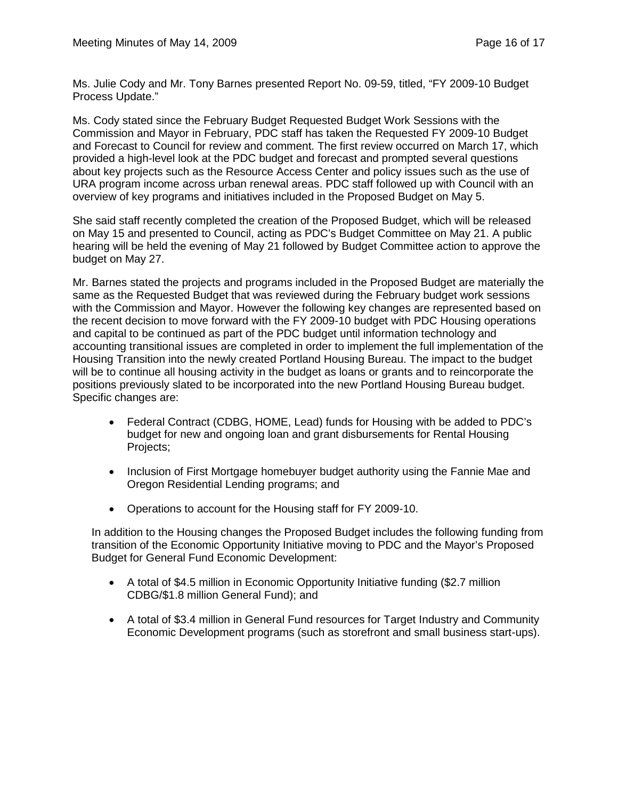Ms. Julie Cody and Mr. Tony Barnes presented Report No. 09-59, titled, "FY 2009-10 Budget Process Update."

Ms. Cody stated since the February Budget Requested Budget Work Sessions with the Commission and Mayor in February, PDC staff has taken the Requested FY 2009-10 Budget and Forecast to Council for review and comment. The first review occurred on March 17, which provided a high-level look at the PDC budget and forecast and prompted several questions about key projects such as the Resource Access Center and policy issues such as the use of URA program income across urban renewal areas. PDC staff followed up with Council with an overview of key programs and initiatives included in the Proposed Budget on May 5.

She said staff recently completed the creation of the Proposed Budget, which will be released on May 15 and presented to Council, acting as PDC's Budget Committee on May 21. A public hearing will be held the evening of May 21 followed by Budget Committee action to approve the budget on May 27.

Mr. Barnes stated the projects and programs included in the Proposed Budget are materially the same as the Requested Budget that was reviewed during the February budget work sessions with the Commission and Mayor. However the following key changes are represented based on the recent decision to move forward with the FY 2009-10 budget with PDC Housing operations and capital to be continued as part of the PDC budget until information technology and accounting transitional issues are completed in order to implement the full implementation of the Housing Transition into the newly created Portland Housing Bureau. The impact to the budget will be to continue all housing activity in the budget as loans or grants and to reincorporate the positions previously slated to be incorporated into the new Portland Housing Bureau budget. Specific changes are:

- Federal Contract (CDBG, HOME, Lead) funds for Housing with be added to PDC's budget for new and ongoing loan and grant disbursements for Rental Housing Projects;
- Inclusion of First Mortgage homebuyer budget authority using the Fannie Mae and Oregon Residential Lending programs; and
- Operations to account for the Housing staff for FY 2009-10.

In addition to the Housing changes the Proposed Budget includes the following funding from transition of the Economic Opportunity Initiative moving to PDC and the Mayor's Proposed Budget for General Fund Economic Development:

- A total of \$4.5 million in Economic Opportunity Initiative funding (\$2.7 million CDBG/\$1.8 million General Fund); and
- A total of \$3.4 million in General Fund resources for Target Industry and Community Economic Development programs (such as storefront and small business start-ups).